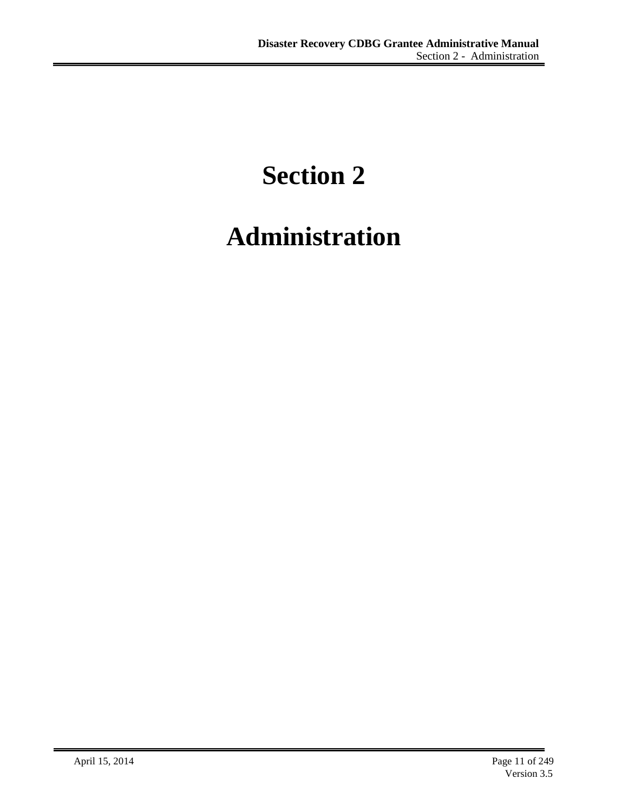# **Section 2**

# **Administration**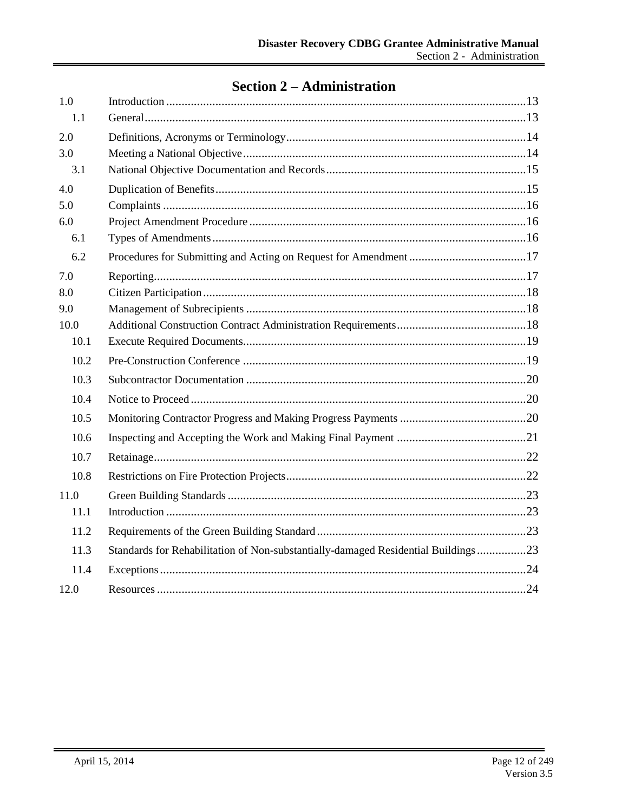# **Section 2 – Administration**

| 1.0  |                                                                                   |  |
|------|-----------------------------------------------------------------------------------|--|
| 1.1  |                                                                                   |  |
| 2.0  |                                                                                   |  |
| 3.0  |                                                                                   |  |
| 3.1  |                                                                                   |  |
| 4.0  |                                                                                   |  |
| 5.0  |                                                                                   |  |
| 6.0  |                                                                                   |  |
| 6.1  |                                                                                   |  |
| 6.2  |                                                                                   |  |
| 7.0  |                                                                                   |  |
| 8.0  |                                                                                   |  |
| 9.0  |                                                                                   |  |
| 10.0 |                                                                                   |  |
| 10.1 |                                                                                   |  |
| 10.2 |                                                                                   |  |
| 10.3 |                                                                                   |  |
| 10.4 |                                                                                   |  |
| 10.5 |                                                                                   |  |
| 10.6 |                                                                                   |  |
| 10.7 |                                                                                   |  |
| 10.8 |                                                                                   |  |
| 11.0 |                                                                                   |  |
| 11.1 |                                                                                   |  |
| 11.2 |                                                                                   |  |
| 11.3 | Standards for Rehabilitation of Non-substantially-damaged Residential Buildings23 |  |
| 11.4 |                                                                                   |  |
| 12.0 |                                                                                   |  |
|      |                                                                                   |  |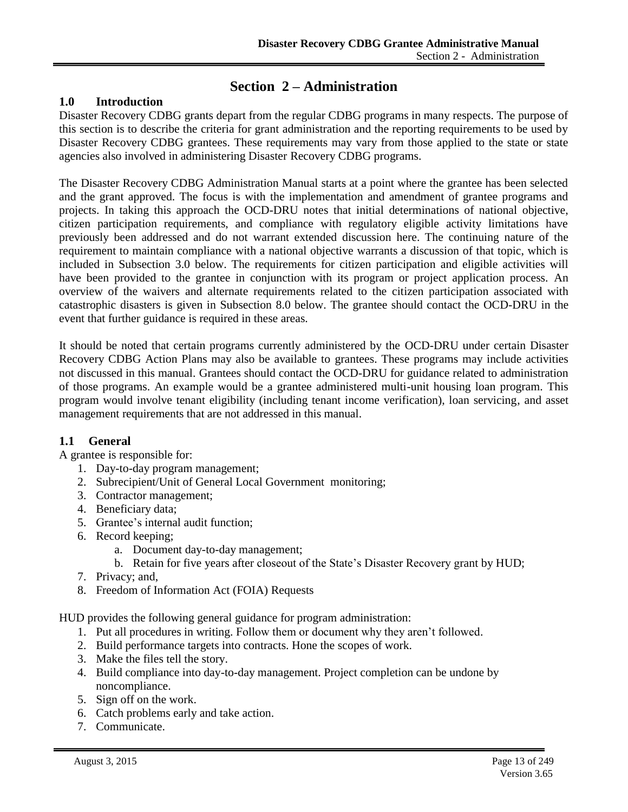# **Section 2 – Administration**

# <span id="page-2-0"></span>**1.0 Introduction**

Disaster Recovery CDBG grants depart from the regular CDBG programs in many respects. The purpose of this section is to describe the criteria for grant administration and the reporting requirements to be used by Disaster Recovery CDBG grantees. These requirements may vary from those applied to the state or state agencies also involved in administering Disaster Recovery CDBG programs.

The Disaster Recovery CDBG Administration Manual starts at a point where the grantee has been selected and the grant approved. The focus is with the implementation and amendment of grantee programs and projects. In taking this approach the OCD-DRU notes that initial determinations of national objective, citizen participation requirements, and compliance with regulatory eligible activity limitations have previously been addressed and do not warrant extended discussion here. The continuing nature of the requirement to maintain compliance with a national objective warrants a discussion of that topic, which is included in Subsection [3.0](#page-3-1) below. The requirements for citizen participation and eligible activities will have been provided to the grantee in conjunction with its program or project application process. An overview of the waivers and alternate requirements related to the citizen participation associated with catastrophic disasters is given in Subsection [8.0](#page-7-0) below. The grantee should contact the OCD-DRU in the event that further guidance is required in these areas.

It should be noted that certain programs currently administered by the OCD-DRU under certain Disaster Recovery CDBG Action Plans may also be available to grantees. These programs may include activities not discussed in this manual. Grantees should contact the OCD-DRU for guidance related to administration of those programs. An example would be a grantee administered multi-unit housing loan program. This program would involve tenant eligibility (including tenant income verification), loan servicing, and asset management requirements that are not addressed in this manual.

## <span id="page-2-1"></span>**1.1 General**

A grantee is responsible for:

- 1. Day-to-day program management;
- 2. Subrecipient/Unit of General Local Government monitoring;
- 3. Contractor management;
- 4. Beneficiary data;
- 5. Grantee's internal audit function;
- 6. Record keeping;
	- a. Document day-to-day management;
	- b. Retain for five years after closeout of the State's Disaster Recovery grant by HUD;
- 7. Privacy; and,
- 8. Freedom of Information Act (FOIA) Requests

HUD provides the following general guidance for program administration:

- 1. Put all procedures in writing. Follow them or document why they aren't followed.
- 2. Build performance targets into contracts. Hone the scopes of work.
- 3. Make the files tell the story.
- 4. Build compliance into day-to-day management. Project completion can be undone by noncompliance.
- 5. Sign off on the work.
- 6. Catch problems early and take action.
- 7. Communicate.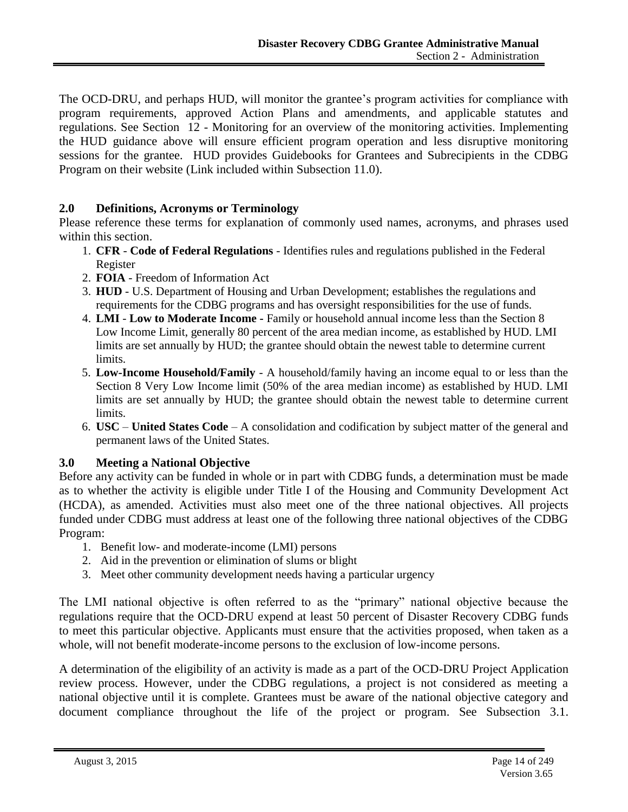The OCD-DRU, and perhaps HUD, will monitor the grantee's program activities for compliance with program requirements, approved Action Plans and amendments, and applicable statutes and regulations. See Section 12 - Monitoring for an overview of the monitoring activities. Implementing the HUD guidance above will ensure efficient program operation and less disruptive monitoring sessions for the grantee. HUD provides Guidebooks for Grantees and Subrecipients in the CDBG Program on their website (Link included within Subsection [11.0\)](#page-12-0).

# <span id="page-3-0"></span>**2.0 Definitions, Acronyms or Terminology**

Please reference these terms for explanation of commonly used names, acronyms, and phrases used within this section.

- 1. **CFR Code of Federal Regulations** Identifies rules and regulations published in the Federal Register
- 2. **FOIA**  Freedom of Information Act
- 3. **HUD** U.S. Department of Housing and Urban Development; establishes the regulations and requirements for the CDBG programs and has oversight responsibilities for the use of funds.
- 4. **LMI Low to Moderate Income -** Family or household annual income less than the Section 8 Low Income Limit, generally 80 percent of the area median income, as established by HUD. LMI limits are set annually by HUD; the grantee should obtain the newest table to determine current limits.
- 5. **Low-Income Household/Family** A household/family having an income equal to or less than the Section 8 Very Low Income limit (50% of the area median income) as established by HUD. LMI limits are set annually by HUD; the grantee should obtain the newest table to determine current limits.
- 6. **USC United States Code**  A consolidation and codification by subject matter of the general and permanent laws of the United States.

# <span id="page-3-1"></span>**3.0 Meeting a National Objective**

Before any activity can be funded in whole or in part with CDBG funds, a determination must be made as to whether the activity is eligible under Title I of the Housing and Community Development Act (HCDA), as amended. Activities must also meet one of the three national objectives. All projects funded under CDBG must address at least one of the following three national objectives of the CDBG Program:

- 1. Benefit low- and moderate-income (LMI) persons
- 2. Aid in the prevention or elimination of slums or blight
- 3. Meet other community development needs having a particular urgency

The LMI national objective is often referred to as the "primary" national objective because the regulations require that the OCD-DRU expend at least 50 percent of Disaster Recovery CDBG funds to meet this particular objective. Applicants must ensure that the activities proposed, when taken as a whole, will not benefit moderate-income persons to the exclusion of low-income persons.

A determination of the eligibility of an activity is made as a part of the OCD-DRU Project Application review process. However, under the CDBG regulations, a project is not considered as meeting a national objective until it is complete. Grantees must be aware of the national objective category and document compliance throughout the life of the project or program. See Subsection [3.1.](#page-4-0)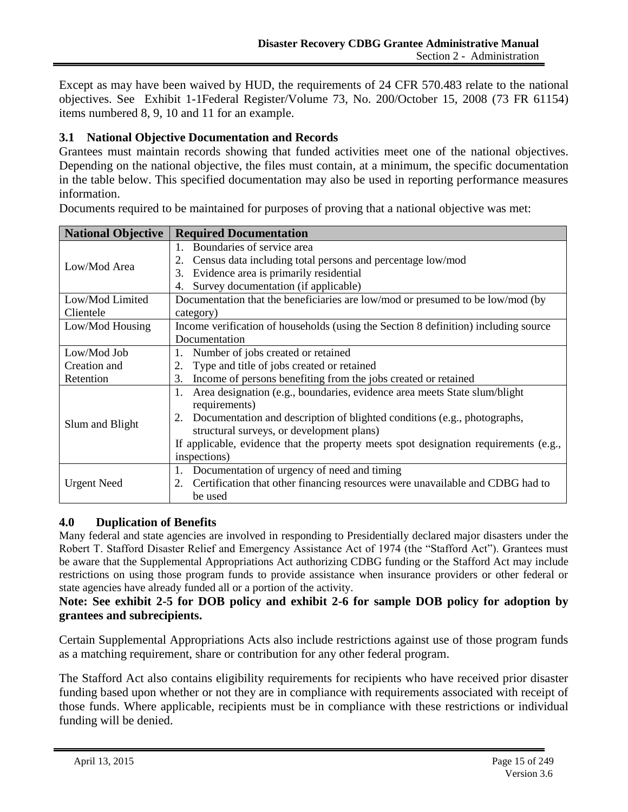Except as may have been waived by HUD, the requirements of 24 CFR 570.483 relate to the national objectives. See Exhibit 1-1Federal Register/Volume 73, No. 200/October 15, 2008 (73 FR 61154) items numbered 8, 9, 10 and 11 for an example.

# <span id="page-4-0"></span>**3.1 National Objective Documentation and Records**

Grantees must maintain records showing that funded activities meet one of the national objectives. Depending on the national objective, the files must contain, at a minimum, the specific documentation in the table below. This specified documentation may also be used in reporting performance measures information.

|  | Documents required to be maintained for purposes of proving that a national objective was met: |
|--|------------------------------------------------------------------------------------------------|
|  |                                                                                                |

| <b>National Objective</b> | <b>Required Documentation</b>                                                                         |
|---------------------------|-------------------------------------------------------------------------------------------------------|
|                           | Boundaries of service area<br>$1 \quad$<br>Census data including total persons and percentage low/mod |
| Low/Mod Area              | Evidence area is primarily residential<br>3.                                                          |
|                           |                                                                                                       |
|                           | Survey documentation (if applicable)<br>4.                                                            |
| Low/Mod Limited           | Documentation that the beneficiaries are low/mod or presumed to be low/mod (by                        |
| Clientele                 | category)                                                                                             |
| Low/Mod Housing           | Income verification of households (using the Section 8 definition) including source                   |
|                           | Documentation                                                                                         |
| Low/Mod Job               | Number of jobs created or retained<br>1.                                                              |
| Creation and              | Type and title of jobs created or retained<br>2.                                                      |
| Retention                 | Income of persons benefiting from the jobs created or retained<br>3.                                  |
|                           | Area designation (e.g., boundaries, evidence area meets State slum/blight<br>1.                       |
|                           | requirements)                                                                                         |
| Slum and Blight           | Documentation and description of blighted conditions (e.g., photographs,<br>2.                        |
|                           | structural surveys, or development plans)                                                             |
|                           | If applicable, evidence that the property meets spot designation requirements (e.g.,                  |
|                           | inspections)                                                                                          |
|                           | 1. Documentation of urgency of need and timing                                                        |
| <b>Urgent Need</b>        | Certification that other financing resources were unavailable and CDBG had to<br>2.                   |
|                           | be used                                                                                               |

## <span id="page-4-1"></span>**4.0 Duplication of Benefits**

Many federal and state agencies are involved in responding to Presidentially declared major disasters under the Robert T. Stafford Disaster Relief and Emergency Assistance Act of 1974 (the "Stafford Act"). Grantees must be aware that the Supplemental Appropriations Act authorizing CDBG funding or the Stafford Act may include restrictions on using those program funds to provide assistance when insurance providers or other federal or state agencies have already funded all or a portion of the activity.

# **Note: See exhibit 2-5 for DOB policy and exhibit 2-6 for sample DOB policy for adoption by grantees and subrecipients.**

Certain Supplemental Appropriations Acts also include restrictions against use of those program funds as a matching requirement, share or contribution for any other federal program.

The Stafford Act also contains eligibility requirements for recipients who have received prior disaster funding based upon whether or not they are in compliance with requirements associated with receipt of those funds. Where applicable, recipients must be in compliance with these restrictions or individual funding will be denied.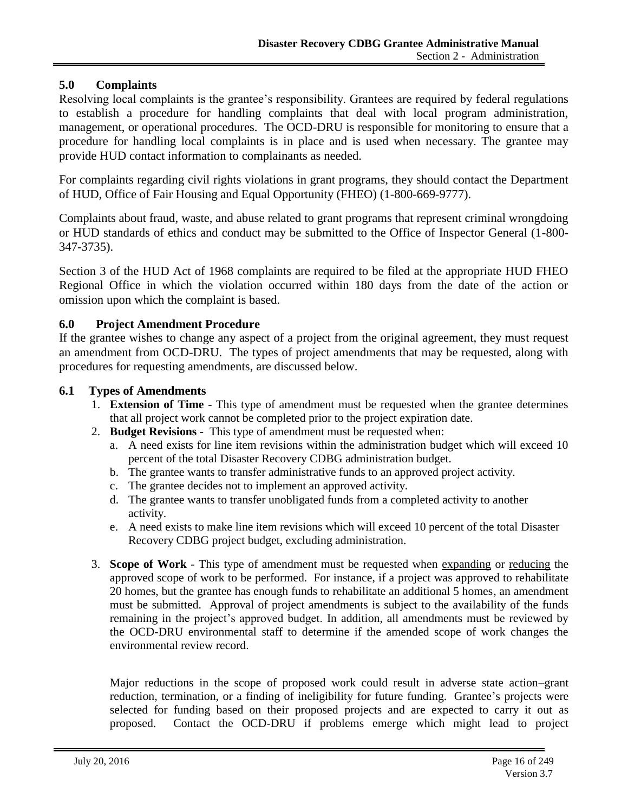# <span id="page-5-0"></span>**5.0 Complaints**

Resolving local complaints is the grantee's responsibility. Grantees are required by federal regulations to establish a procedure for handling complaints that deal with local program administration, management, or operational procedures. The OCD-DRU is responsible for monitoring to ensure that a procedure for handling local complaints is in place and is used when necessary. The grantee may provide HUD contact information to complainants as needed.

For complaints regarding civil rights violations in grant programs, they should contact the Department of HUD, Office of Fair Housing and Equal Opportunity (FHEO) (1-800-669-9777).

Complaints about fraud, waste, and abuse related to grant programs that represent criminal wrongdoing or HUD standards of ethics and conduct may be submitted to the Office of Inspector General (1-800- 347-3735).

Section 3 of the HUD Act of 1968 complaints are required to be filed at the appropriate HUD FHEO Regional Office in which the violation occurred within 180 days from the date of the action or omission upon which the complaint is based.

#### <span id="page-5-1"></span>**6.0 Project Amendment Procedure**

If the grantee wishes to change any aspect of a project from the original agreement, they must request an amendment from OCD-DRU. The types of project amendments that may be requested, along with procedures for requesting amendments, are discussed below.

#### <span id="page-5-2"></span>**6.1 Types of Amendments**

- 1. **Extension of Time** This type of amendment must be requested when the grantee determines that all project work cannot be completed prior to the project expiration date.
- 2. **Budget Revisions** This type of amendment must be requested when:
	- a. A need exists for line item revisions within the administration budget which will exceed 10 percent of the total Disaster Recovery CDBG administration budget.
	- b. The grantee wants to transfer administrative funds to an approved project activity.
	- c. The grantee decides not to implement an approved activity.
	- d. The grantee wants to transfer unobligated funds from a completed activity to another activity.
	- e. A need exists to make line item revisions which will exceed 10 percent of the total Disaster Recovery CDBG project budget, excluding administration.
- 3. **Scope of Work** This type of amendment must be requested when expanding or reducing the approved scope of work to be performed. For instance, if a project was approved to rehabilitate 20 homes, but the grantee has enough funds to rehabilitate an additional 5 homes, an amendment must be submitted. Approval of project amendments is subject to the availability of the funds remaining in the project's approved budget. In addition, all amendments must be reviewed by the OCD-DRU environmental staff to determine if the amended scope of work changes the environmental review record.

Major reductions in the scope of proposed work could result in adverse state action–grant reduction, termination, or a finding of ineligibility for future funding. Grantee's projects were selected for funding based on their proposed projects and are expected to carry it out as proposed. Contact the OCD-DRU if problems emerge which might lead to project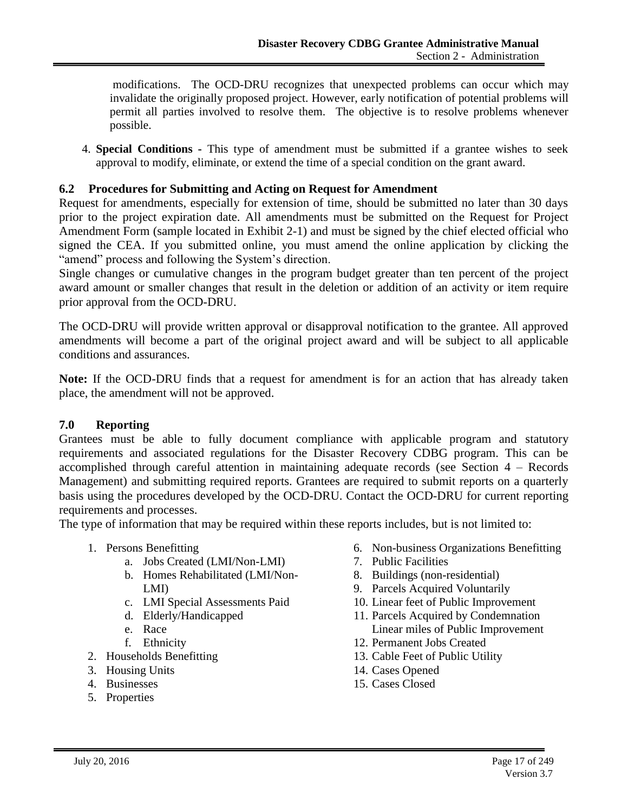modifications. The OCD-DRU recognizes that unexpected problems can occur which may invalidate the originally proposed project. However, early notification of potential problems will permit all parties involved to resolve them. The objective is to resolve problems whenever possible.

4. **Special Conditions -** This type of amendment must be submitted if a grantee wishes to seek approval to modify, eliminate, or extend the time of a special condition on the grant award.

# <span id="page-6-0"></span>**6.2 Procedures for Submitting and Acting on Request for Amendment**

Request for amendments, especially for extension of time, should be submitted no later than 30 days prior to the project expiration date. All amendments must be submitted on the Request for Project Amendment Form (sample located in Exhibit 2-1) and must be signed by the chief elected official who signed the CEA. If you submitted online, you must amend the online application by clicking the "amend" process and following the System's direction.

Single changes or cumulative changes in the program budget greater than ten percent of the project award amount or smaller changes that result in the deletion or addition of an activity or item require prior approval from the OCD-DRU.

The OCD-DRU will provide written approval or disapproval notification to the grantee. All approved amendments will become a part of the original project award and will be subject to all applicable conditions and assurances.

**Note:** If the OCD-DRU finds that a request for amendment is for an action that has already taken place, the amendment will not be approved.

## <span id="page-6-1"></span>**7.0 Reporting**

Grantees must be able to fully document compliance with applicable program and statutory requirements and associated regulations for the Disaster Recovery CDBG program. This can be accomplished through careful attention in maintaining adequate records (see Section 4 – Records Management) and submitting required reports. Grantees are required to submit reports on a quarterly basis using the procedures developed by the OCD-DRU. Contact the OCD-DRU for current reporting requirements and processes.

The type of information that may be required within these reports includes, but is not limited to:

- 1. Persons Benefitting
	- a. Jobs Created (LMI/Non-LMI)
	- b. Homes Rehabilitated (LMI/Non-LMI)
	- c. LMI Special Assessments Paid
	- d. Elderly/Handicapped
	- e. Race
	- f. Ethnicity
- 2. Households Benefitting
- 3. Housing Units
- 4. Businesses
- 5. Properties
- 6. Non-business Organizations Benefitting
- 7. Public Facilities
- 8. Buildings (non-residential)
- 9. Parcels Acquired Voluntarily
- 10. Linear feet of Public Improvement
- 11. Parcels Acquired by Condemnation Linear miles of Public Improvement
- 12. Permanent Jobs Created
- 13. Cable Feet of Public Utility
- 14. Cases Opened
- 15. Cases Closed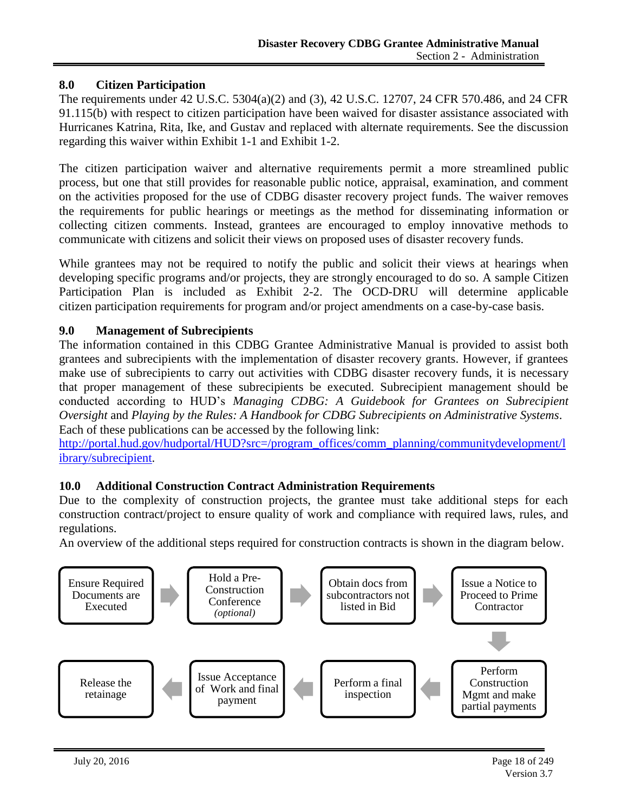# <span id="page-7-0"></span>**8.0 Citizen Participation**

The requirements under 42 U.S.C. 5304(a)(2) and (3), 42 U.S.C. 12707, 24 CFR 570.486, and 24 CFR 91.115(b) with respect to citizen participation have been waived for disaster assistance associated with Hurricanes Katrina, Rita, Ike, and Gustav and replaced with alternate requirements. See the discussion regarding this waiver within Exhibit 1-1 and Exhibit 1-2.

The citizen participation waiver and alternative requirements permit a more streamlined public process, but one that still provides for reasonable public notice, appraisal, examination, and comment on the activities proposed for the use of CDBG disaster recovery project funds. The waiver removes the requirements for public hearings or meetings as the method for disseminating information or collecting citizen comments. Instead, grantees are encouraged to employ innovative methods to communicate with citizens and solicit their views on proposed uses of disaster recovery funds.

While grantees may not be required to notify the public and solicit their views at hearings when developing specific programs and/or projects, they are strongly encouraged to do so. A sample Citizen Participation Plan is included as Exhibit 2-2. The OCD-DRU will determine applicable citizen participation requirements for program and/or project amendments on a case-by-case basis.

## <span id="page-7-1"></span>**9.0 Management of Subrecipients**

The information contained in this CDBG Grantee Administrative Manual is provided to assist both grantees and subrecipients with the implementation of disaster recovery grants. However, if grantees make use of subrecipients to carry out activities with CDBG disaster recovery funds, it is necessary that proper management of these subrecipients be executed. Subrecipient management should be conducted according to HUD's *Managing CDBG: A Guidebook for Grantees on Subrecipient Oversight* and *Playing by the Rules: A Handbook for CDBG Subrecipients on Administrative Systems*. Each of these publications can be accessed by the following link:

[http://portal.hud.gov/hudportal/HUD?src=/program\\_offices/comm\\_planning/communitydevelopment/l](http://portal.hud.gov/hudportal/HUD?src=/program_offices/comm_planning/communitydevelopment/library/subrecipient) [ibrary/subrecipient.](http://portal.hud.gov/hudportal/HUD?src=/program_offices/comm_planning/communitydevelopment/library/subrecipient)

## <span id="page-7-2"></span>**10.0 Additional Construction Contract Administration Requirements**

Due to the complexity of construction projects, the grantee must take additional steps for each construction contract/project to ensure quality of work and compliance with required laws, rules, and regulations.

An overview of the additional steps required for construction contracts is shown in the diagram below.

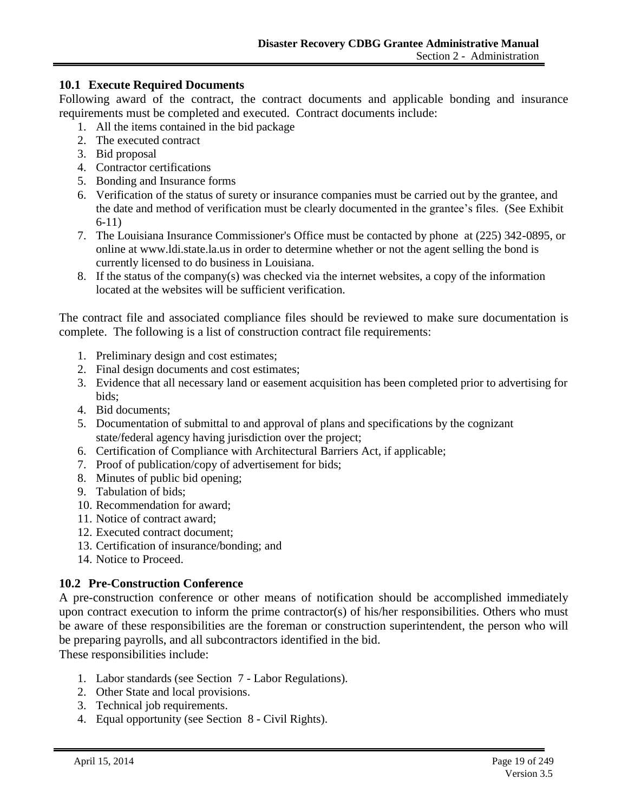#### <span id="page-8-0"></span>**10.1 Execute Required Documents**

Following award of the contract, the contract documents and applicable bonding and insurance requirements must be completed and executed. Contract documents include:

- 1. All the items contained in the bid package
- 2. The executed contract
- 3. Bid proposal
- 4. Contractor certifications
- 5. Bonding and Insurance forms
- 6. Verification of the status of surety or insurance companies must be carried out by the grantee, and the date and method of verification must be clearly documented in the grantee's files. (See Exhibit 6-11)
- 7. The Louisiana Insurance Commissioner's Office must be contacted by phone at (225) 342-0895, or online at www.ldi.state.la.us in order to determine whether or not the agent selling the bond is currently licensed to do business in Louisiana.
- 8. If the status of the company(s) was checked via the internet websites, a copy of the information located at the websites will be sufficient verification.

The contract file and associated compliance files should be reviewed to make sure documentation is complete. The following is a list of construction contract file requirements:

- 1. Preliminary design and cost estimates;
- 2. Final design documents and cost estimates;
- 3. Evidence that all necessary land or easement acquisition has been completed prior to advertising for bids;
- 4. Bid documents;
- 5. Documentation of submittal to and approval of plans and specifications by the cognizant state/federal agency having jurisdiction over the project;
- 6. Certification of Compliance with Architectural Barriers Act, if applicable;
- 7. Proof of publication/copy of advertisement for bids;
- 8. Minutes of public bid opening;
- 9. Tabulation of bids;
- 10. Recommendation for award;
- 11. Notice of contract award;
- 12. Executed contract document;
- 13. Certification of insurance/bonding; and
- 14. Notice to Proceed.

## <span id="page-8-1"></span>**10.2 Pre-Construction Conference**

A pre-construction conference or other means of notification should be accomplished immediately upon contract execution to inform the prime contractor(s) of his/her responsibilities. Others who must be aware of these responsibilities are the foreman or construction superintendent, the person who will be preparing payrolls, and all subcontractors identified in the bid.

These responsibilities include:

- 1. Labor standards (see Section 7 Labor Regulations).
- 2. Other State and local provisions.
- 3. Technical job requirements.
- 4. Equal opportunity (see Section 8 Civil Rights).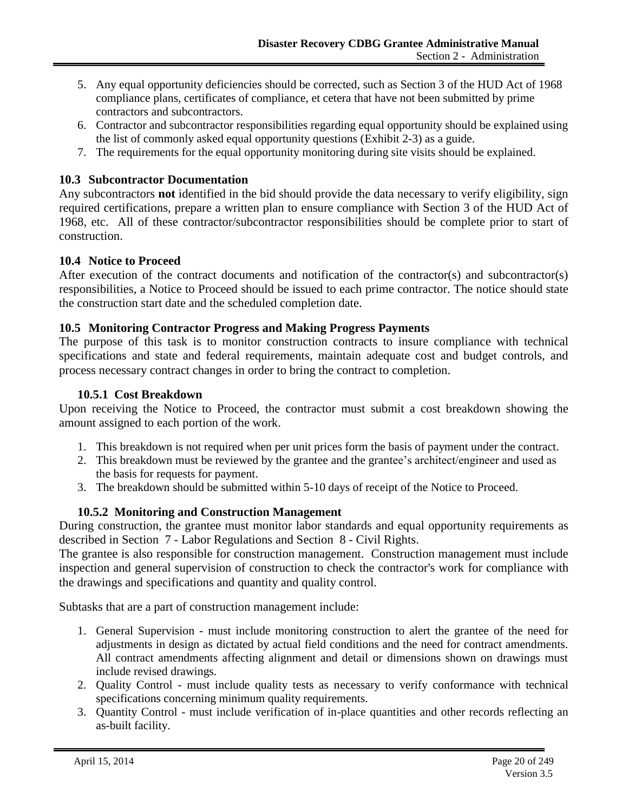- 5. Any equal opportunity deficiencies should be corrected, such as Section 3 of the HUD Act of 1968 compliance plans, certificates of compliance, et cetera that have not been submitted by prime contractors and subcontractors.
- 6. Contractor and subcontractor responsibilities regarding equal opportunity should be explained using the list of commonly asked equal opportunity questions (Exhibit 2-3) as a guide.
- 7. The requirements for the equal opportunity monitoring during site visits should be explained.

# <span id="page-9-0"></span>**10.3 Subcontractor Documentation**

Any subcontractors **not** identified in the bid should provide the data necessary to verify eligibility, sign required certifications, prepare a written plan to ensure compliance with Section 3 of the HUD Act of 1968, etc. All of these contractor/subcontractor responsibilities should be complete prior to start of construction.

## <span id="page-9-1"></span>**10.4 Notice to Proceed**

After execution of the contract documents and notification of the contractor(s) and subcontractor(s) responsibilities, a Notice to Proceed should be issued to each prime contractor. The notice should state the construction start date and the scheduled completion date.

## <span id="page-9-2"></span>**10.5 Monitoring Contractor Progress and Making Progress Payments**

The purpose of this task is to monitor construction contracts to insure compliance with technical specifications and state and federal requirements, maintain adequate cost and budget controls, and process necessary contract changes in order to bring the contract to completion.

## **10.5.1 Cost Breakdown**

Upon receiving the Notice to Proceed, the contractor must submit a cost breakdown showing the amount assigned to each portion of the work.

- 1. This breakdown is not required when per unit prices form the basis of payment under the contract.
- 2. This breakdown must be reviewed by the grantee and the grantee's architect/engineer and used as the basis for requests for payment.
- 3. The breakdown should be submitted within 5-10 days of receipt of the Notice to Proceed.

# **10.5.2 Monitoring and Construction Management**

During construction, the grantee must monitor labor standards and equal opportunity requirements as described in Section 7 - Labor Regulations and Section 8 - Civil Rights.

The grantee is also responsible for construction management. Construction management must include inspection and general supervision of construction to check the contractor's work for compliance with the drawings and specifications and quantity and quality control.

Subtasks that are a part of construction management include:

- 1. General Supervision must include monitoring construction to alert the grantee of the need for adjustments in design as dictated by actual field conditions and the need for contract amendments. All contract amendments affecting alignment and detail or dimensions shown on drawings must include revised drawings.
- 2. Quality Control must include quality tests as necessary to verify conformance with technical specifications concerning minimum quality requirements.
- 3. Quantity Control must include verification of in-place quantities and other records reflecting an as-built facility.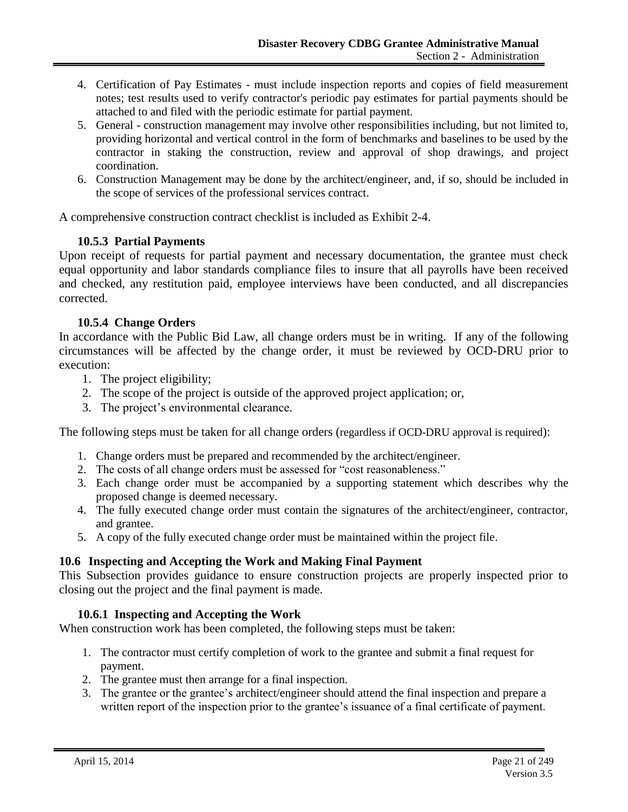- 4. Certification of Pay Estimates must include inspection reports and copies of field measurement notes; test results used to verify contractor's periodic pay estimates for partial payments should be attached to and filed with the periodic estimate for partial payment.
- 5. General construction management may involve other responsibilities including, but not limited to, providing horizontal and vertical control in the form of benchmarks and baselines to be used by the contractor in staking the construction, review and approval of shop drawings, and project coordination.
- 6. Construction Management may be done by the architect/engineer, and, if so, should be included in the scope of services of the professional services contract.

A comprehensive construction contract checklist is included as Exhibit 2-4.

## **10.5.3 Partial Payments**

Upon receipt of requests for partial payment and necessary documentation, the grantee must check equal opportunity and labor standards compliance files to insure that all payrolls have been received and checked, any restitution paid, employee interviews have been conducted, and all discrepancies corrected.

## **10.5.4 Change Orders**

In accordance with the Public Bid Law, all change orders must be in writing. If any of the following circumstances will be affected by the change order, it must be reviewed by OCD-DRU prior to execution:

- 1. The project eligibility;
- 2. The scope of the project is outside of the approved project application; or,
- 3. The project's environmental clearance.

The following steps must be taken for all change orders (regardless if OCD-DRU approval is required):

- 1. Change orders must be prepared and recommended by the architect/engineer.
- 2. The costs of all change orders must be assessed for "cost reasonableness."
- 3. Each change order must be accompanied by a supporting statement which describes why the proposed change is deemed necessary.
- 4. The fully executed change order must contain the signatures of the architect/engineer, contractor, and grantee.
- 5. A copy of the fully executed change order must be maintained within the project file.

# <span id="page-10-0"></span>**10.6 Inspecting and Accepting the Work and Making Final Payment**

This Subsection provides guidance to ensure construction projects are properly inspected prior to closing out the project and the final payment is made.

# **10.6.1 Inspecting and Accepting the Work**

When construction work has been completed, the following steps must be taken:

- 1. The contractor must certify completion of work to the grantee and submit a final request for payment.
- 2. The grantee must then arrange for a final inspection.
- 3. The grantee or the grantee's architect/engineer should attend the final inspection and prepare a written report of the inspection prior to the grantee's issuance of a final certificate of payment.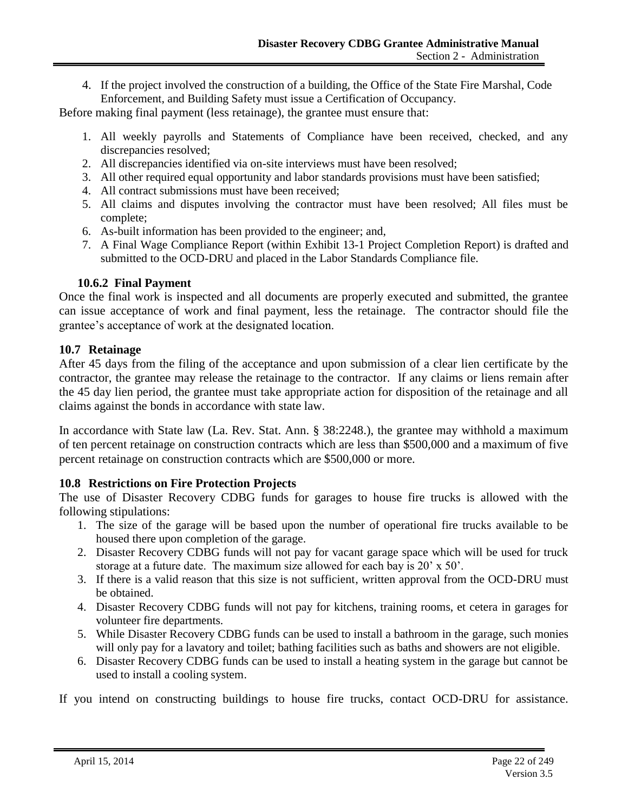4. If the project involved the construction of a building, the Office of the State Fire Marshal, Code Enforcement, and Building Safety must issue a Certification of Occupancy.

Before making final payment (less retainage), the grantee must ensure that:

- 1. All weekly payrolls and Statements of Compliance have been received, checked, and any discrepancies resolved;
- 2. All discrepancies identified via on-site interviews must have been resolved;
- 3. All other required equal opportunity and labor standards provisions must have been satisfied;
- 4. All contract submissions must have been received;
- 5. All claims and disputes involving the contractor must have been resolved; All files must be complete;
- 6. As-built information has been provided to the engineer; and,
- 7. A Final Wage Compliance Report (within Exhibit 13-1 Project Completion Report) is drafted and submitted to the OCD-DRU and placed in the Labor Standards Compliance file.

# **10.6.2 Final Payment**

Once the final work is inspected and all documents are properly executed and submitted, the grantee can issue acceptance of work and final payment, less the retainage. The contractor should file the grantee's acceptance of work at the designated location.

# <span id="page-11-0"></span>**10.7 Retainage**

After 45 days from the filing of the acceptance and upon submission of a clear lien certificate by the contractor, the grantee may release the retainage to the contractor. If any claims or liens remain after the 45 day lien period, the grantee must take appropriate action for disposition of the retainage and all claims against the bonds in accordance with state law.

In accordance with State law (La. Rev. Stat. Ann. § 38:2248.), the grantee may withhold a maximum of ten percent retainage on construction contracts which are less than \$500,000 and a maximum of five percent retainage on construction contracts which are \$500,000 or more.

# <span id="page-11-1"></span>**10.8 Restrictions on Fire Protection Projects**

The use of Disaster Recovery CDBG funds for garages to house fire trucks is allowed with the following stipulations:

- 1. The size of the garage will be based upon the number of operational fire trucks available to be housed there upon completion of the garage.
- 2. Disaster Recovery CDBG funds will not pay for vacant garage space which will be used for truck storage at a future date. The maximum size allowed for each bay is 20' x 50'.
- 3. If there is a valid reason that this size is not sufficient, written approval from the OCD-DRU must be obtained.
- 4. Disaster Recovery CDBG funds will not pay for kitchens, training rooms, et cetera in garages for volunteer fire departments.
- 5. While Disaster Recovery CDBG funds can be used to install a bathroom in the garage, such monies will only pay for a lavatory and toilet; bathing facilities such as baths and showers are not eligible.
- 6. Disaster Recovery CDBG funds can be used to install a heating system in the garage but cannot be used to install a cooling system.

If you intend on constructing buildings to house fire trucks, contact OCD-DRU for assistance.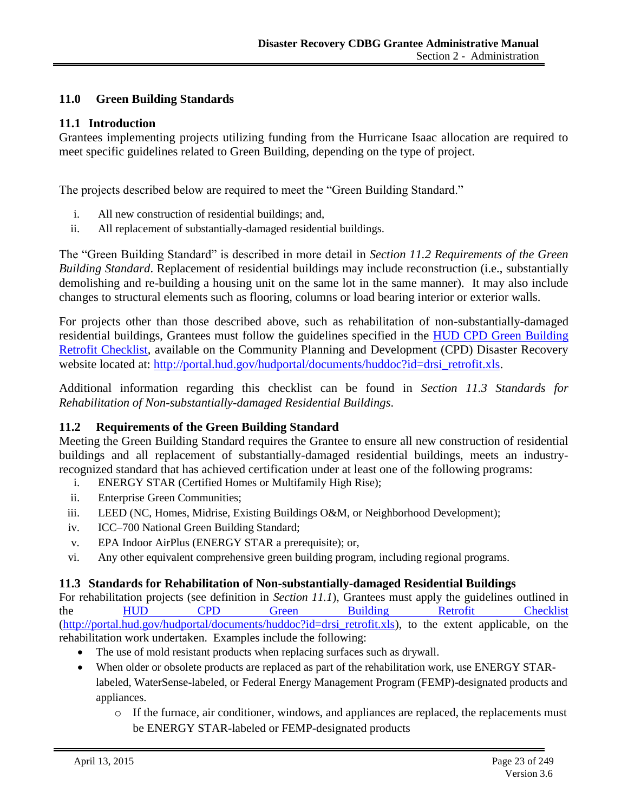# <span id="page-12-0"></span>**11.0 Green Building Standards**

#### <span id="page-12-1"></span>**11.1 Introduction**

Grantees implementing projects utilizing funding from the Hurricane Isaac allocation are required to meet specific guidelines related to Green Building, depending on the type of project.

The projects described below are required to meet the "Green Building Standard."

- i. All new construction of residential buildings; and,
- ii. All replacement of substantially-damaged residential buildings.

The "Green Building Standard" is described in more detail in *Section 11.2 Requirements of the Green Building Standard*. Replacement of residential buildings may include reconstruction (i.e., substantially demolishing and re-building a housing unit on the same lot in the same manner). It may also include changes to structural elements such as flooring, columns or load bearing interior or exterior walls.

For projects other than those described above, such as rehabilitation of non-substantially-damaged residential buildings, Grantees must follow the guidelines specified in the [HUD CPD Green Building](file:///C:/Users/mstaples/Documents/SharePoint%20Drafts/portal.hud.gov/hudportal/documents/huddoc)  [Retrofit Checklist,](file:///C:/Users/mstaples/Documents/SharePoint%20Drafts/portal.hud.gov/hudportal/documents/huddoc) available on the Community Planning and Development (CPD) Disaster Recovery website located at: [http://portal.hud.gov/hudportal/documents/huddoc?id=drsi\\_retrofit.xls.](http://portal.hud.gov/hudportal/documents/huddoc?id=drsi_retrofit.xls)

Additional information regarding this checklist can be found in *Section 11.3 Standards for Rehabilitation of Non-substantially-damaged Residential Buildings*.

## <span id="page-12-2"></span>**11.2 Requirements of the Green Building Standard**

Meeting the Green Building Standard requires the Grantee to ensure all new construction of residential buildings and all replacement of substantially-damaged residential buildings, meets an industryrecognized standard that has achieved certification under at least one of the following programs:

- i. ENERGY STAR (Certified Homes or Multifamily High Rise);
- ii. Enterprise Green Communities;
- iii. LEED (NC, Homes, Midrise, Existing Buildings O&M, or Neighborhood Development);
- iv. ICC–700 National Green Building Standard;
- v. EPA Indoor AirPlus (ENERGY STAR a prerequisite); or,
- vi. Any other equivalent comprehensive green building program, including regional programs.

## <span id="page-12-3"></span>**11.3 Standards for Rehabilitation of Non-substantially-damaged Residential Buildings**

For rehabilitation projects (see definition in *Section 11.1*), Grantees must apply the guidelines outlined in the HUD CPD Green Building Retrofit Checklist [\(http://portal.hud.gov/hudportal/documents/huddoc?id=drsi\\_retrofit.xls\)](http://portal.hud.gov/hudportal/documents/huddoc?id=drsi_retrofit.xls), to the extent applicable, on the rehabilitation work undertaken. Examples include the following:

- The use of mold resistant products when replacing surfaces such as drywall.
- When older or obsolete products are replaced as part of the rehabilitation work, use ENERGY STARlabeled, WaterSense-labeled, or Federal Energy Management Program (FEMP)-designated products and appliances.
	- o If the furnace, air conditioner, windows, and appliances are replaced, the replacements must be ENERGY STAR-labeled or FEMP-designated products